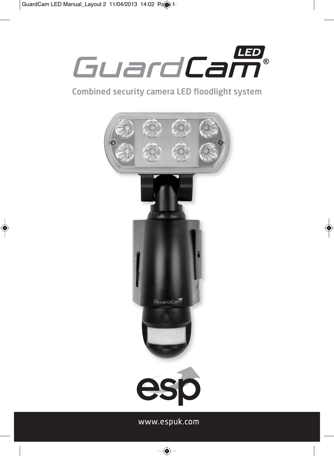

## Combined security camera LED floodlight system



www.espuk.com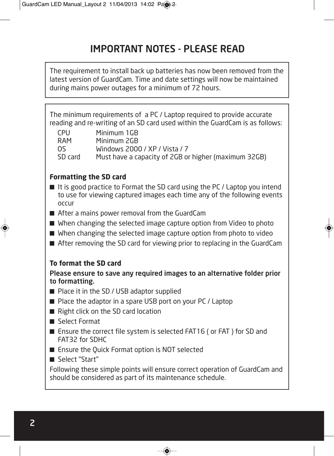# IMPORTANT NOTES - PLEASE READ

The requirement to install back up batteries has now been removed from the latest version of GuardCam. Time and date settings will now be maintained during mains power outages for a minimum of 72 hours.

The minimum requirements of a PC / Laptop required to provide accurate reading and re-writing of an SD card used within the GuardCam is as follows:

CPU Minimum 1GB

RAM Minimum 2GB OS Windows 2000 / XP / Vista / 7

SD card Must have a capacity of 2GB or higher (maximum 32GB)

## **Formatting the SD card**

- It is good practice to Format the SD card using the PC / Laptop you intend to use for viewing captured images each time any of the following events occur
- After a mains power removal from the GuardCam
- When changing the selected image capture option from Video to photo
- When changing the selected image capture option from photo to video
- After removing the SD card for viewing prior to replacing in the GuardCam

## **To format the SD card**

Please ensure to save any required images to an alternative folder prior to formatting.

- Place it in the SD / USB adaptor supplied
- Place the adaptor in a spare USB port on your PC / Laptop
- Right click on the SD card location
- Select Format
- Ensure the correct file system is selected FAT16 (or FAT) for SD and FAT32 for SDHC
- Ensure the Quick Format option is NOT selected
- Select "Start"

Following these simple points will ensure correct operation of GuardCam and should be considered as part of its maintenance schedule.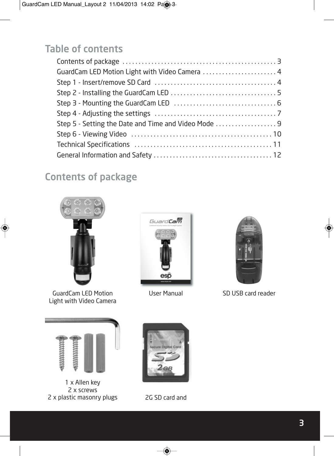# Table of contents

| GuardCam LED Motion Light with Video Camera  4      |
|-----------------------------------------------------|
|                                                     |
|                                                     |
|                                                     |
|                                                     |
| Step 5 - Setting the Date and Time and Video Mode 9 |
|                                                     |
|                                                     |
|                                                     |

# Contents of package



GuardCam LED Motion Light with Video Camera



User Manual



SD USB card reader



1 x Allen key 2 x screws 2 x plastic masonry plugs



2G SD card and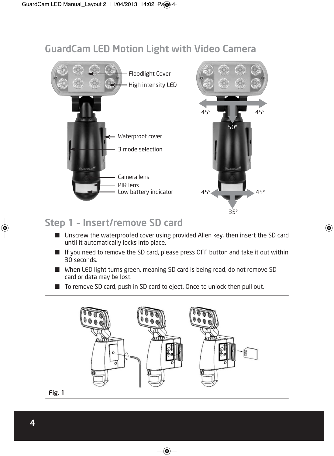## GuardCam LED Motion Light with Video Camera



## Step 1 – Insert/remove SD card

- Unscrew the waterproofed cover using provided Allen key, then insert the SD card until it automatically locks into place.
- If you need to remove the SD card, please press OFF button and take it out within 30 seconds.
- When LED light turns green, meaning SD card is being read, do not remove SD card or data may be lost.
- To remove SD card, push in SD card to eject. Once to unlock then pull out.

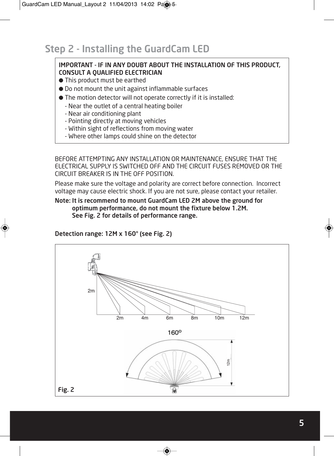## Step 2 - Installing the GuardCam LED

### IMPORTANT - IF IN ANY DOUBT ABOUT THE INSTALLATION OF THIS PRODUCT, CONSULT A QUALIFIED ELECTRICIAN

- This product must be earthed
- Do not mount the unit against inflammable surfaces
- The motion detector will not operate correctly if it is installed:
	- Near the outlet of a central heating boiler
	- Near air conditioning plant
	- Pointing directly at moving vehicles
	- Within sight of reflections from moving water
	- Where other lamps could shine on the detector

BEFORE ATTEMPTING ANY INSTALLATION OR MAINTENANCE, ENSURE THAT THE ELECTRICAL SUPPLY IS SWITCHED OFF AND THE CIRCUIT FUSES REMOVED OR THE CIRCUIT BREAKER IS IN THE OFF POSITION.

Please make sure the voltage and polarity are correct before connection. Incorrect voltage may cause electric shock. If you are not sure, please contact your retailer.

Note: It is recommend to mount GuardCam LED 2M above the ground for optimum performance, do not mount the fixture below 1.2M. See Fig. 2 for details of performance range.

### Detection range: 12M x 160° (see Fig. 2)

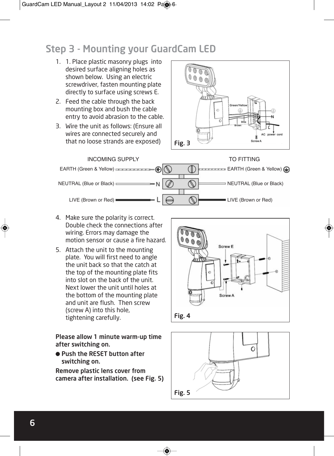## Step 3 - Mounting your GuardCam LED

- 1. 1. Place plastic masonry plugs into desired surface aligning holes as shown below. Using an electric screwdriver, fasten mounting plate directly to surface using screws E.
- 2. Feed the cable through the back mounting box and bush the cable entry to avoid abrasion to the cable.
- 3. Wire the unit as follows: (Ensure all wires are connected securely and that no loose strands are exposed)





- 4. Make sure the polarity is correct. Double check the connections after wiring. Errors may damage the motion sensor or cause a fire hazard.
- 5. Attach the unit to the mounting plate. You will first need to angle the unit back so that the catch at the top of the mounting plate fits into slot on the back of the unit. Next lower the unit until holes at the bottom of the mounting plate and unit are flush. Then screw (screw A) into this hole, tightening carefully.

Please allow 1 minute warm-up time after switching on.

● Push the RESET button after switching on.

Remove plastic lens cover from camera after installation. (see Fig. 5)



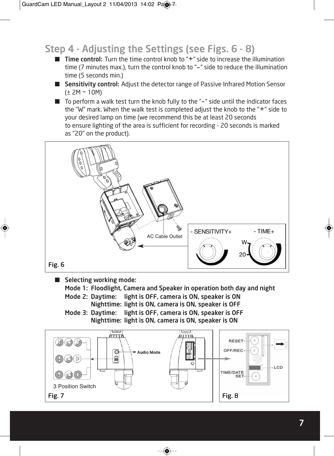# Step 4 - Adjusting the Settings (see Figs. 6 - 8)

- Time control: Turn the time control knob to "+" side to increase the illumination time (7 minutes max.), turn the control knob to "-" side to reduce the illumination time (5 seconds min.)
- Sensitivity control: Adjust the detector range of Passive Infrared Motion Sensor (± 2M ~ 10M)
- To perform a walk test turn the knob fully to the "-" side until the indicator faces the "W" mark. When the walk test is completed adjust the knob to the "+" side to your desired lamp on time (we recommend this be at least 20 seconds to ensure lighting of the area is sufficient for recording - 20 seconds is marked as "20" on the product).



■ Selecting working mode:

Mode 1: Floodlight, Camera and Speaker in operation both day and night

Mode 2: Daytime: light is OFF, camera is ON, speaker is ON Nighttime: light is ON, camera is ON, speaker is OFF

Mode 3: Daytime: light is OFF, camera is ON, speaker is OFF Nighttime: light is ON, camera is ON, speaker is ON

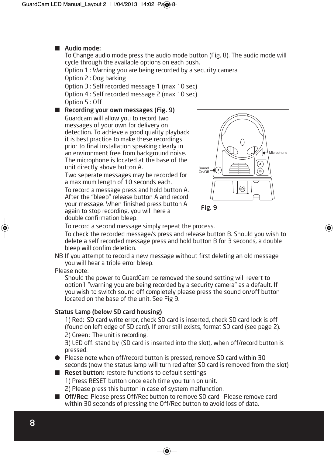#### ■ Audio mode:

To Change audio mode press the audio mode button (Fig. 8). The audio mode will cycle through the available options on each push.

Option 1 : Warning you are being recorded by a security camera

Option 2 : Dog barking

Option 3 : Self recorded message 1 (max 10 sec) Option 4 : Self recorded message 2 (max 10 sec) Option 5 : Off

■ Recording your own messages (Fig. 9) Guardcam will allow you to record two messages of your own for delivery on detection. To achieve a good quality playback it is best practice to make these recordings prior to final installation speaking clearly in an environment free from background noise. The microphone is located at the base of the unit directly above button A.

Two seperate messages may be recorded for a maximum length of 10 seconds each.

To record a message press and hold button A. After the "bleep" release button A and record your message. When finished press button A again to stop recording, you will here a double confirmation bleep.



To record a second message simply repeat the process.

To check the recorded message/s press and release button B. Should you wish to delete a self recorded message press and hold button B for 3 seconds, a double bleep will confim deletion.

NB If you attempt to record a new message without first deleting an old message you will hear a triple error bleep.

Please note:

Should the power to GuardCam be removed the sound setting will revert to option1 "warning you are being recorded by a security camera" as a default. If you wish to switch sound off completely please press the sound on/off button located on the base of the unit. See Fig 9.

#### Status Lamp (below SD card housing)

1) Red: SD card write error, check SD card is inserted, check SD card lock is off (found on left edge of SD card). If error still exists, format SD card (see page 2). 2) Green: The unit is recording.

3) LED off: stand by (SD card is inserted into the slot), when off/record button is pressed.

● Please note when off/record button is pressed, remove SD card within 30 seconds (now the status lamp will turn red after SD card is removed from the slot)

■ Reset button: restore functions to default settings

1) Press RESET button once each time you turn on unit.

2) Please press this button in case of system malfunction.

■ Off/Rec: Please press Off/Rec button to remove SD card. Please remove card within 30 seconds of pressing the Off/Rec button to avoid loss of data.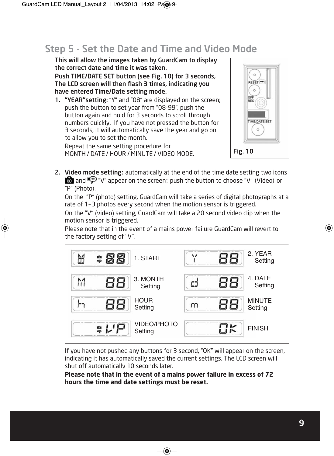## Step 5 - Set the Date and Time and Video Mode

This will allow the images taken by GuardCam to display the correct date and time it was taken.

Push TIME/DATE SET button (see Fig. 10) for 3 seconds, The LCD screen will then flash 3 times, indicating you have entered Time/Date setting mode.

1. "YEAR"setting: "Y" and "08" are displayed on the screen; push the button to set year from "08-99", push the button again and hold for 3 seconds to scroll through numbers quickly. If you have not pressed the button for 3 seconds, it will automatically save the year and go on to allow you to set the month.

Repeat the same setting procedure for MONTH / DATE / HOUR / MINUTE / VIDEO MODE.



2. Video mode setting: automatically at the end of the time date setting two icons **b** and  $\mathbf{\Phi}$  "V" appear on the screen; push the button to choose "V" (Video) or "P" (Photo).

On the "P" (photo) setting, GuardCam will take a series of digital photographs at a rate of 1–3 photos every second when the motion sensor is triggered.

On the "V" (video) setting, GuardCam will take a 20 second video clip when the motion sensor is triggered.

Please note that in the event of a mains power failure GuardCam will revert to the factory setting of "V".



If you have not pushed any buttons for 3 second, "OK" will appear on the screen, indicating it has automatically saved the current settings. The LCD screen will shut off automatically 10 seconds later.

**Please note that in the event of a mains power failure in excess of 72 hours the time and date settings must be reset.**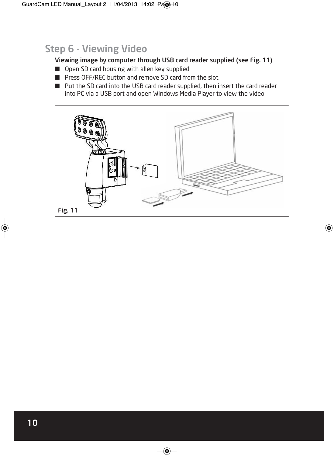## Step 6 - Viewing Video

### Viewing image by computer through USB card reader supplied (see Fig. 11)

- Open SD card housing with allen key supplied
- Press OFF/REC button and remove SD card from the slot.
- Put the SD card into the USB card reader supplied, then insert the card reader into PC via a USB port and open Windows Media Player to view the video.

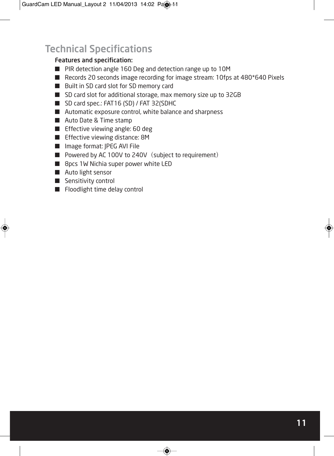# Technical Specifications

### Features and specification:

- PIR detection angle 160 Deg and detection range up to 10M
- Records 20 seconds image recording for image stream: 10fps at 480\*640 Pixels
- Built in SD card slot for SD memory card
- SD card slot for additional storage, max memory size up to 32GB
- SD card spec.: FAT16 (SD) / FAT 32(SDHC
- Automatic exposure control, white balance and sharpness
- Auto Date & Time stamp
- Effective viewing angle: 60 deg
- Effective viewing distance: 8M
- Image format: IPEG AVI File
- Powered by AC 100V to 240V (subject to requirement)
- 8pcs 1W Nichia super power white LED
- Auto light sensor
- Sensitivity control
- Floodlight time delay control